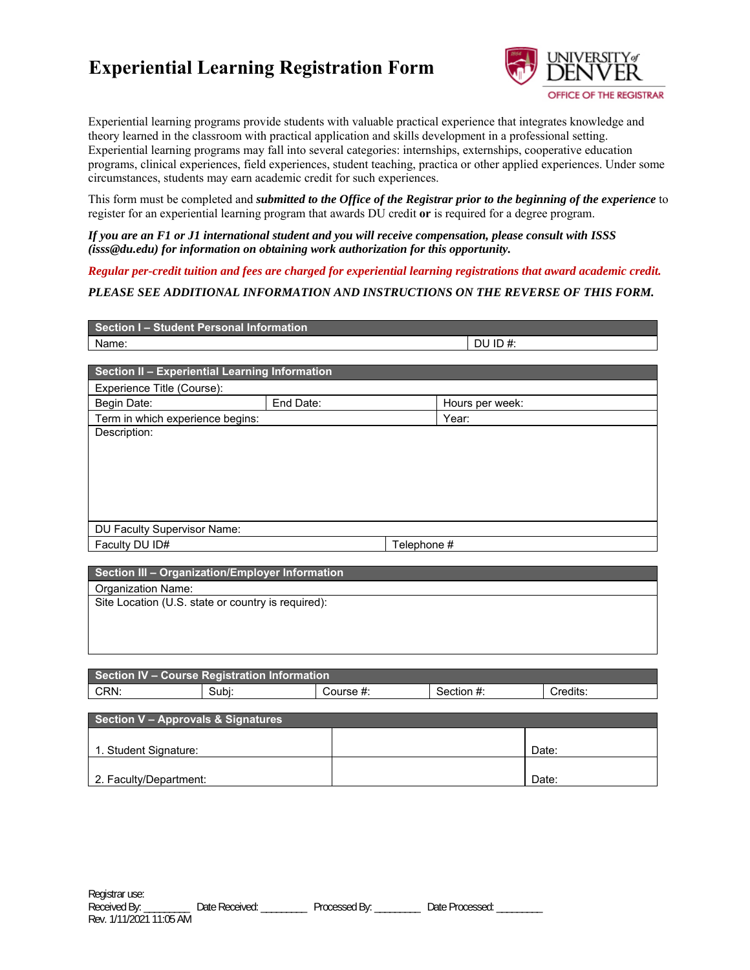# **Experiential Learning Registration Form**



Experiential learning programs provide students with valuable practical experience that integrates knowledge and theory learned in the classroom with practical application and skills development in a professional setting. Experiential learning programs may fall into several categories: internships, externships, cooperative education programs, clinical experiences, field experiences, student teaching, practica or other applied experiences. Under some circumstances, students may earn academic credit for such experiences.

This form must be completed and *submitted to the Office of the Registrar prior to the beginning of the experience* to register for an experiential learning program that awards DU credit **or** is required for a degree program.

*If you are an F1 or J1 international student and you will receive compensation, please consult with ISSS (isss@du.edu) for information on obtaining work authorization for this opportunity.* 

*Regular per-credit tuition and fees are charged for experiential learning registrations that award academic credit.* 

## *PLEASE SEE ADDITIONAL INFORMATION AND INSTRUCTIONS ON THE REVERSE OF THIS FORM.*

| Section I - Student Personal Information                                        |           |             |                 |  |  |  |  |
|---------------------------------------------------------------------------------|-----------|-------------|-----------------|--|--|--|--|
| Name:                                                                           |           |             | DU ID $#$ :     |  |  |  |  |
|                                                                                 |           |             |                 |  |  |  |  |
| Section II - Experiential Learning Information                                  |           |             |                 |  |  |  |  |
| Experience Title (Course):                                                      |           |             |                 |  |  |  |  |
| Begin Date:                                                                     | End Date: |             | Hours per week: |  |  |  |  |
| Term in which experience begins:                                                |           |             | Year:           |  |  |  |  |
| Description:                                                                    |           |             |                 |  |  |  |  |
|                                                                                 |           |             |                 |  |  |  |  |
|                                                                                 |           |             |                 |  |  |  |  |
|                                                                                 |           |             |                 |  |  |  |  |
|                                                                                 |           |             |                 |  |  |  |  |
|                                                                                 |           |             |                 |  |  |  |  |
| DU Faculty Supervisor Name:                                                     |           |             |                 |  |  |  |  |
| Faculty DU ID#                                                                  |           | Telephone # |                 |  |  |  |  |
|                                                                                 |           |             |                 |  |  |  |  |
| the contract of the contract of the con-<br>the contract of the contract of the | .         |             |                 |  |  |  |  |

| Section IV - Course Registration Information |       |           |            |          |  |  |  |  |  |
|----------------------------------------------|-------|-----------|------------|----------|--|--|--|--|--|
| CRN:                                         | Subi: | Course #: | Section #: | Credits: |  |  |  |  |  |
|                                              |       |           |            |          |  |  |  |  |  |
| Section V - Approvals & Signatures           |       |           |            |          |  |  |  |  |  |
|                                              |       |           |            |          |  |  |  |  |  |
| 1. Student Signature:                        |       |           |            | Date:    |  |  |  |  |  |
|                                              |       |           |            |          |  |  |  |  |  |

2. Faculty/Department:  $\qquad \qquad$  Date: